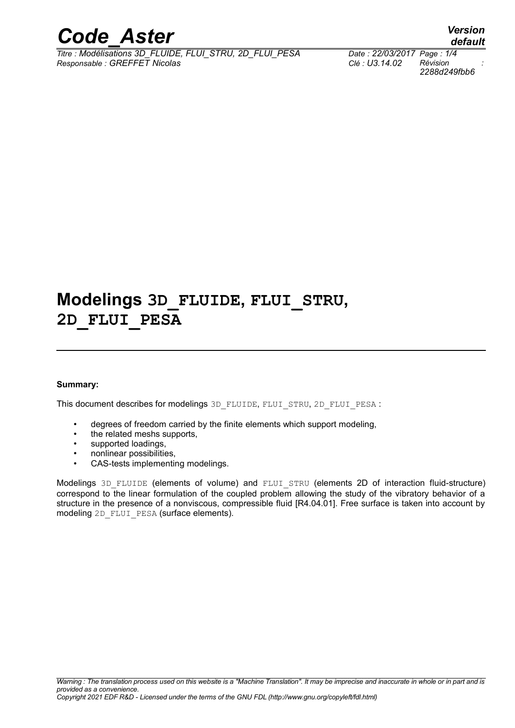

*Titre : Modélisations 3D\_FLUIDE, FLUI\_STRU, 2D\_FLUI\_PESA Date : 22/03/2017 Page : 1/4 Responsable : GREFFET Nicolas Clé : U3.14.02 Révision :*

*default 2288d249fbb6*

## **Modelings 3D\_FLUIDE, FLUI\_STRU, 2D\_FLUI\_PESA**

#### **Summary:**

This document describes for modelings 3D\_FLUIDE, FLUI\_STRU, 2D\_FLUI\_PESA :

- degrees of freedom carried by the finite elements which support modeling,
- the related meshs supports.
- supported loadings,
- nonlinear possibilities,
- CAS-tests implementing modelings.

Modelings 3D FLUIDE (elements of volume) and FLUI STRU (elements 2D of interaction fluid-structure) correspond to the linear formulation of the coupled problem allowing the study of the vibratory behavior of a structure in the presence of a nonviscous, compressible fluid [R4.04.01]. Free surface is taken into account by modeling 2D\_FLUI\_PESA (surface elements).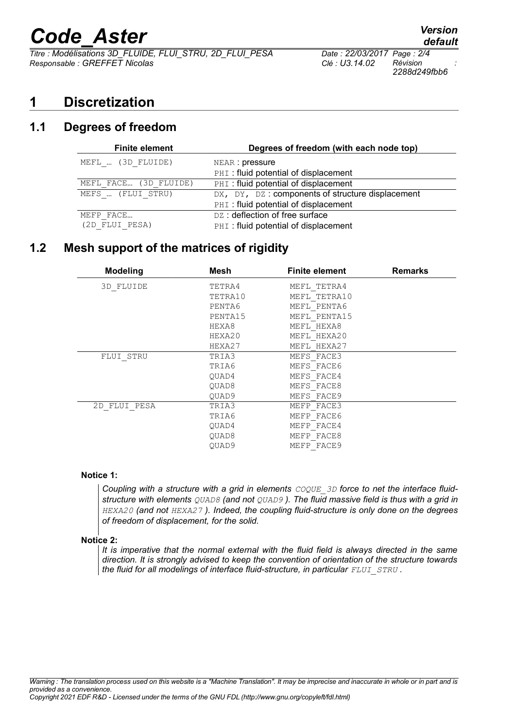# *Code\_Aster Version*

*Titre : Modélisations 3D\_FLUIDE, FLUI\_STRU, 2D\_FLUI\_PESA Date : 22/03/2017 Page : 2/4 Responsable : GREFFET Nicolas Clé : U3.14.02 Révision :*

*2288d249fbb6*

## **1 Discretization**

## **1.1 Degrees of freedom**

| <b>Finite element</b> | Degrees of freedom (with each node top)          |  |  |
|-----------------------|--------------------------------------------------|--|--|
| MEFL  (3D FLUIDE)     | NEAR: pressure                                   |  |  |
|                       | PHI: fluid potential of displacement             |  |  |
| MEFL FACE (3D FLUIDE) | PHI: fluid potential of displacement             |  |  |
| MEFS  (FLUI STRU)     | DX, DY, DZ: components of structure displacement |  |  |
|                       | PHI: fluid potential of displacement             |  |  |
| MEFP FACE             | DZ: deflection of free surface                   |  |  |
| (2D FLUI PESA)        | PHI: fluid potential of displacement             |  |  |

## **1.2 Mesh support of the matrices of rigidity**

| <b>Modeling</b> | Mesh              | <b>Finite element</b> | <b>Remarks</b> |
|-----------------|-------------------|-----------------------|----------------|
| 3D FLUIDE       | TETRA4            | MEFL TETRA4           |                |
|                 | TETRA10           | MEFL TETRA10          |                |
|                 | PENTA6            | MEFL PENTA6           |                |
|                 | PENTA15           | MEFL PENTA15          |                |
|                 | HEXA8             | MEFL HEXA8            |                |
|                 | HEXA20            | MEFL HEXA20           |                |
|                 | HEXA27            | MEFL HEXA27           |                |
| FLUI STRU       | TRIA3             | MEFS FACE3            |                |
|                 | TRIA6             | MEFS FACE6            |                |
|                 | OUAD4             | MEFS FACE4            |                |
|                 | OUAD <sub>8</sub> | MEFS FACE8            |                |
|                 | OUAD9             | MEFS FACE9            |                |
| 2D FLUI PESA    | TRIA3             | MEFP FACE3            |                |
|                 | TRIA6             | MEFP FACE6            |                |
|                 | OUAD4             | MEFP FACE4            |                |
|                 | OUAD <sub>8</sub> | MEFP FACE8            |                |
|                 | OUAD9             | MEFP FACE9            |                |

#### **Notice 1:**

**Coupling with a structure with a grid in elements**  $COQUE$  3D force to net the interface fluid*structure with elements QUAD8 (and not QUAD9 ). The fluid massive field is thus with a grid in HEXA20 (and not HEXA27 ). Indeed, the coupling fluid-structure is only done on the degrees of freedom of displacement, for the solid.*

#### **Notice 2:**

*It is imperative that the normal external with the fluid field is always directed in the same direction. It is strongly advised to keep the convention of orientation of the structure towards the fluid for all modelings of interface fluid-structure, in particular*  $FLUI$  $STRU$ *.*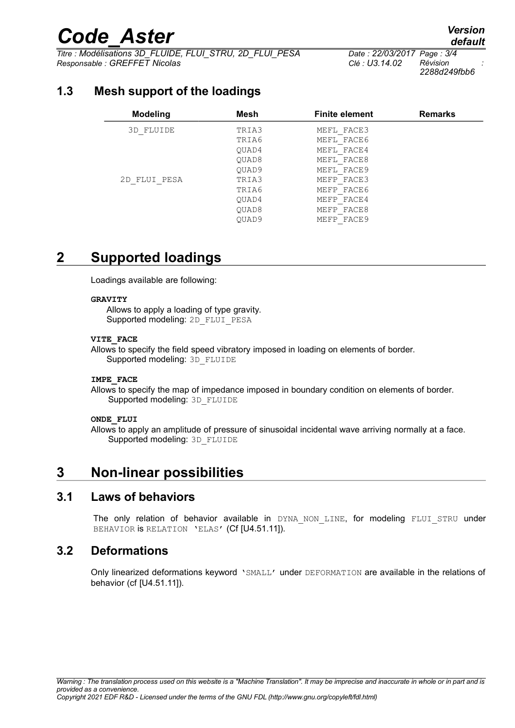# *Code\_Aster Version*

*Titre : Modélisations 3D\_FLUIDE, FLUI\_STRU, 2D\_FLUI\_PESA Date : 22/03/2017 Page : 3/4 Responsable : GREFFET Nicolas Clé : U3.14.02 Révision :*

*2288d249fbb6*

## **1.3 Mesh support of the loadings**

| <b>Modeling</b> | Mesh  | <b>Finite element</b> | <b>Remarks</b> |
|-----------------|-------|-----------------------|----------------|
| 3D FLUIDE       | TRIA3 | MEFL FACE3            |                |
|                 | TRIA6 | MEFL FACE6            |                |
|                 | OUAD4 | MEFL FACE4            |                |
|                 | OUAD8 | MEFL FACE8            |                |
|                 | OUAD9 | MEFL FACE9            |                |
| 2D FLUI PESA    | TRIA3 | MEFP FACE3            |                |
|                 | TRIA6 | MEFP FACE6            |                |
|                 | OUAD4 | MEFP FACE4            |                |
|                 | OUAD8 | MEFP FACE8            |                |
|                 | OUAD9 | MEFP FACE9            |                |

## **2 Supported loadings**

Loadings available are following:

#### **GRAVITY**

Allows to apply a loading of type gravity. Supported modeling: 2D\_FLUI\_PESA

#### **VITE\_FACE**

Allows to specify the field speed vibratory imposed in loading on elements of border. Supported modeling: 3D\_FLUIDE

#### **IMPE\_FACE**

Allows to specify the map of impedance imposed in boundary condition on elements of border. Supported modeling: 3D\_FLUIDE

#### **ONDE\_FLUI**

Allows to apply an amplitude of pressure of sinusoidal incidental wave arriving normally at a face. Supported modeling: 3D\_FLUIDE

## **3 Non-linear possibilities**

#### **3.1 Laws of behaviors**

The only relation of behavior available in DYNA NON LINE, for modeling FLUI STRU under BEHAVIOR IS RELATION 'ELAS' (Cf [U4.51.11]).

### **3.2 Deformations**

Only linearized deformations keyword 'SMALL' under DEFORMATION are available in the relations of behavior (cf [U4.51.11]).

*default*